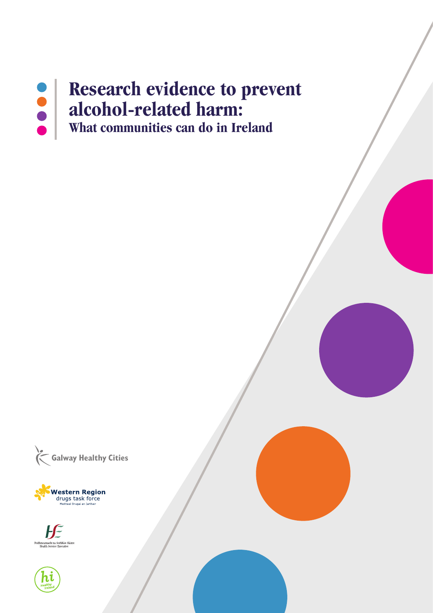# **Research evidence to prevent OOO alcohol-related harm: What communities can do in Ireland**





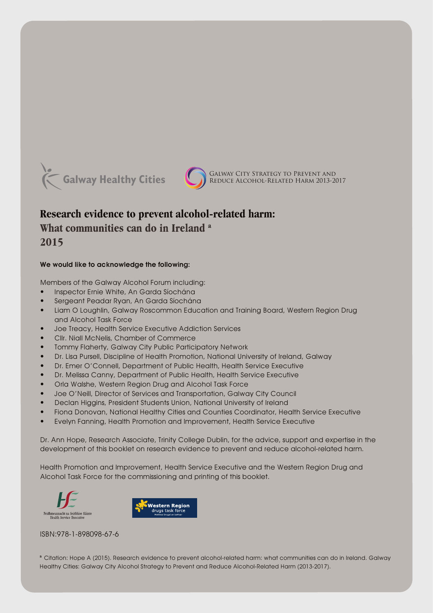



## **Research evidence to prevent alcohol-related harm:**

# What communities can do in Ireland<sup>a</sup>

2015

#### We would like to acknowledge the following:

Members of the Galway Alcohol Forum including:

- Inspector Ernie White, An Garda Síochána
- Sergeant Peadar Ryan, An Garda Síochána
- Liam O Loughlin, Galway Roscommon Education and Training Board, Western Region Drug and Alcohol Task Force
- Joe Treacy, Health Service Executive Addiction Services
- Cllr. Niall McNelis, Chamber of Commerce
- Tommy Flaherty, Galway City Public Participatory Network
- Dr. Lisa Pursell, Discipline of Health Promotion, National University of Ireland, Galway
- Dr. Emer O'Connell, Department of Public Health, Health Service Executive
- Dr. Melissa Canny, Department of Public Health, Health Service Executive
- Orla Walshe, Western Region Drug and Alcohol Task Force
- Joe O'Neill, Director of Services and Transportation, Galway City Council
- Declan Higgins, President Students Union, National University of Ireland
- Fiona Donovan, National Healthy Cities and Counties Coordinator, Health Service Executive
- Evelyn Fanning, Health Promotion and Improvement, Health Service Executive

Dr. Ann Hope, Research Associate, Trinity College Dublin, for the advice, support and expertise in the development of this booklet on research evidence to prevent and reduce alcohol-related harm.

Health Promotion and Improvement, Health Service Executive and the Western Region Drug and Alcohol Task Force for the commissioning and printing of this booklet.





ISBN:978-1-898098-67-6

a Citation: Hope A (2015). Research evidence to prevent alcohol-related harm: what communities can do in Ireland. Galway Healthy Cities: Galway City Alcohol Strategy to Prevent and Reduce Alcohol-Related Harm (2013-2017).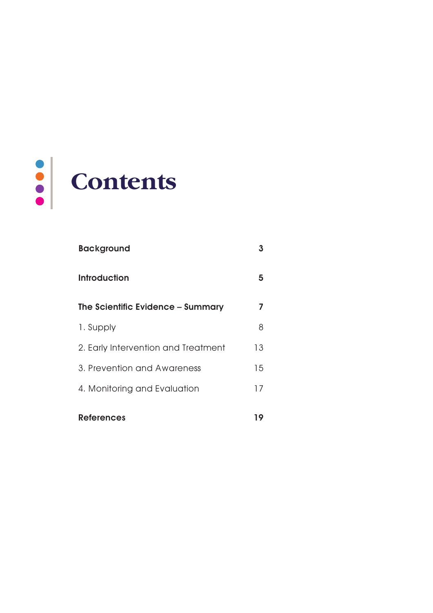

| <b>Background</b>                   | 3  |
|-------------------------------------|----|
| <b>Introduction</b>                 | 5  |
| The Scientific Evidence - Summary   | 7  |
| 1. Supply                           | 8  |
| 2. Early Intervention and Treatment | 13 |
| 3. Prevention and Awareness         | 15 |
| 4. Monitoring and Evaluation        | 17 |
| <b>References</b>                   | 19 |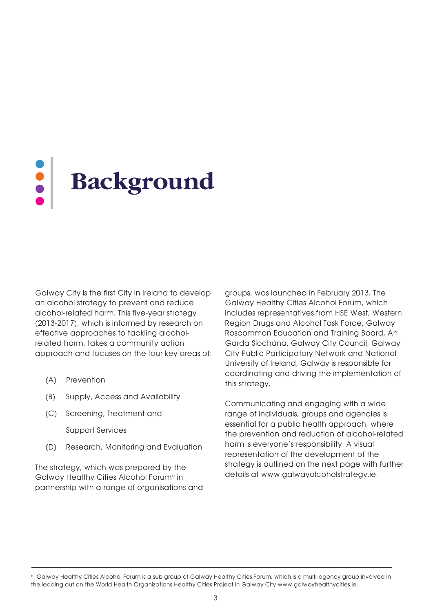# **Background**

Galway City is the first City in Ireland to develop an alcohol strategy to prevent and reduce alcohol-related harm. This five-year strategy (2013-2017), which is informed by research on effective approaches to tackling alcoholrelated harm, takes a community action approach and focuses on the four key areas of:

- (A) Prevention
- (B) Supply, Access and Availability
- (C) Screening, Treatment and

Support Services

(D) Research, Monitoring and Evaluation

The strategy, which was prepared by the Galway Healthy Cities Alcohol Forum<sup>b</sup> in partnership with a range of organisations and

groups, was launched in February 2013. The Galway Healthy Cities Alcohol Forum, which includes representatives from HSE West, Western Region Drugs and Alcohol Task Force, Galway Roscommon Education and Training Board, An Garda Síochána, Galway City Council, Galway City Public Participatory Network and National University of Ireland, Galway is responsible for coordinating and driving the implementation of this strategy.

Communicating and engaging with a wide range of individuals, groups and agencies is essential for a public health approach, where the prevention and reduction of alcohol-related harm is everyone's responsibility. A visual representation of the development of the strategy is outlined on the next page with further details at www.galwayalcoholstrategy.ie.

b. Galway Healthy Cities Alcohol Forum is a sub group of Galway Healthy Cities Forum, which is a multi-agency group involved in the leading out on the World Health Organizations Healthy Cities Project in Galway City www.galwayhealthycities.ie.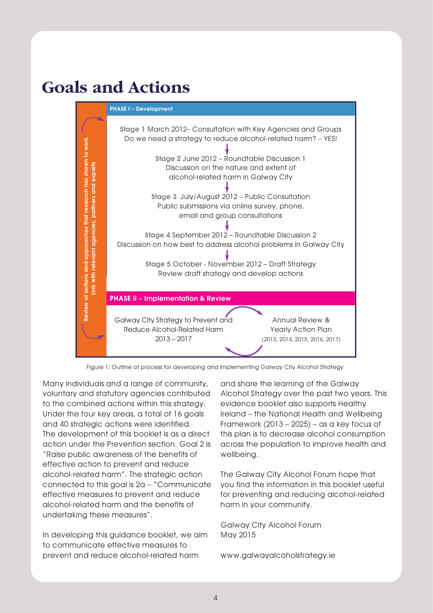# **Goals and Actions**



Figure 1: Outline of process for developing and implementing Galway City Alcohol Strategy

Many individuals and a range of community, voluntary and statutory agencies contributed to the combined actions within this strategy. Under the four key areas, a total of 16 goals and 40 strategic actions were identified. The development of this booklet is as a direct action under the Prevention section. Goal 2 is "Raise public awareness of the benefits of effective action to prevent and reduce alcohol-related harm". The strategic action connected to this goal is 2a – "Communicate effective measures to prevent and reduce alcohol-related harm and the benefits of undertaking these measures".

In developing this guidance booklet, we aim to communicate effective measures to prevent and reduce alcohol-related harm

and share the learning of the Galway Alcohol Strategy over the past two years. This evidence booklet also supports Healthy Ireland – the National Health and Wellbeing Framework  $(2013 - 2025)$  – as a key focus of this plan is to decrease alcohol consumption across the population to improve health and wellbeing.

The Galway City Alcohol Forum hope that you find the information in this booklet useful for preventing and reducing alcohol-related harm in your community.

Galway City Alcohol Forum May 2015

www.galwayalcoholstrategy.ie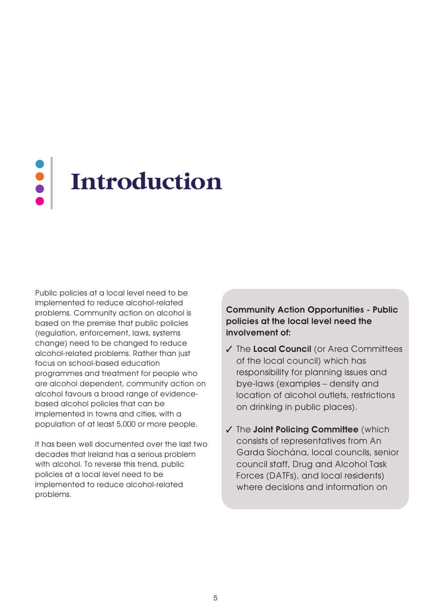# **Introduction**

Public policies at a local level need to be implemented to reduce alcohol-related problems. Community action on alcohol is based on the premise that public policies (regulation, enforcement, laws, systems change) need to be changed to reduce alcohol-related problems. Rather than just focus on school-based education programmes and treatment for people who are alcohol dependent, community action on alcohol favours a broad range of evidencebased alcohol policies that can be implemented in towns and cities, with a population of at least 5,000 or more people.

It has been well documented over the last two decades that Ireland has a serious problem with alcohol. To reverse this trend, public policies at a local level need to be implemented to reduce alcohol-related problems.

Community Action Opportunities - Public policies at the local level need the involvement of:

- ✓ The Local Council (or Area Committees of the local council) which has responsibility for planning issues and bye-laws (examples – density and location of alcohol outlets, restrictions on drinking in public places).
- ✓ The Joint Policing Committee (which consists of representatives from An Garda Síochána, local councils, senior council staff, Drug and Alcohol Task Forces (DATFs), and local residents) where decisions and information on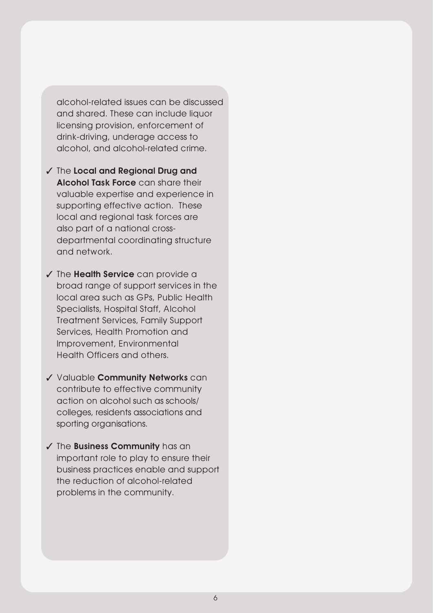alcohol-related issues can be discussed and shared. These can include liquor licensing provision, enforcement of drink-driving, underage access to alcohol, and alcohol-related crime.

- ✓ The Local and Regional Drug and Alcohol Task Force can share their valuable expertise and experience in supporting effective action. These local and regional task forces are also part of a national crossdepartmental coordinating structure and network.
- ✓ The Health Service can provide a broad range of support services in the local area such as GPs, Public Health Specialists, Hospital Staff, Alcohol Treatment Services, Family Support Services, Health Promotion and Improvement, Environmental Health Officers and others.
- ✓ Valuable Community Networks can contribute to effective community action on alcohol such as schools/ colleges, residents associations and sporting organisations.
- ✓ The Business Community has an important role to play to ensure their business practices enable and support the reduction of alcohol-related problems in the community.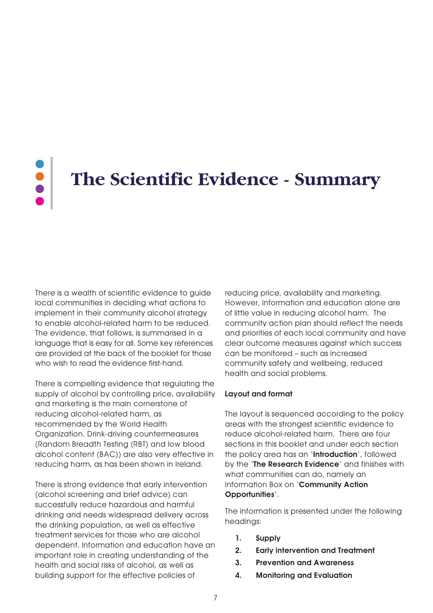# **The Scientific Evidence - Summary**

There is a wealth of scientific evidence to guide local communities in deciding what actions to implement in their community alcohol strategy to enable alcohol-related harm to be reduced. The evidence, that follows, is summarised in a language that is easy for all. Some key references are provided at the back of the booklet for those who wish to read the evidence first-hand.

There is compelling evidence that regulating the supply of alcohol by controlling price, availability and marketing is the main cornerstone of reducing alcohol-related harm, as recommended by the World Health Organization. Drink-driving countermeasures (Random Breadth Testing (RBT) and low blood alcohol content (BAC)) are also very effective in reducing harm, as has been shown in Ireland.

There is strong evidence that early intervention (alcohol screening and brief advice) can successfully reduce hazardous and harmful drinking and needs widespread delivery across the drinking population, as well as effective treatment services for those who are alcohol dependent. Information and education have an important role in creating understanding of the health and social risks of alcohol, as well as building support for the effective policies of

reducing price, availability and marketing. However, information and education alone are of little value in reducing alcohol harm. The community action plan should reflect the needs and priorities of each local community and have clear outcome measures against which success can be monitored – such as increased community safety and wellbeing, reduced health and social problems.

#### Layout and format

The layout is sequenced according to the policy areas with the strongest scientific evidence to reduce alcohol-related harm. There are four sections in this booklet and under each section the policy area has an 'Introduction', followed by the 'The Research Evidence' and finishes with what communities can do, namely an Information Box on 'Community Action Opportunities'.

The information is presented under the following headings:

- 1. Supply
- 2. Early intervention and Treatment
- 3. Prevention and Awareness
- 4. Monitoring and Evaluation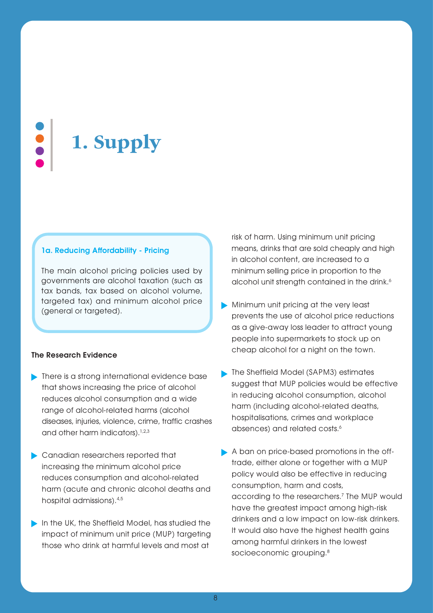**1. Supply**

#### 1a. Reducing Affordability - Pricing

The main alcohol pricing policies used by governments are alcohol taxation (such as tax bands, tax based on alcohol volume, targeted tax) and minimum alcohol price (general or targeted).

#### The Research Evidence

- **There is a strong international evidence base** that shows increasing the price of alcohol reduces alcohol consumption and a wide range of alcohol-related harms (alcohol diseases, injuries, violence, crime, traffic crashes and other harm indicators).<sup>1,2,3</sup>
- Canadian researchers reported that increasing the minimum alcohol price reduces consumption and alcohol-related harm (acute and chronic alcohol deaths and hospital admissions).4,5
- In the UK, the Sheffield Model, has studied the impact of minimum unit price (MUP) targeting those who drink at harmful levels and most at

risk of harm. Using minimum unit pricing means, drinks that are sold cheaply and high in alcohol content, are increased to a minimum selling price in proportion to the alcohol unit strength contained in the drink.<sup>6</sup>

- Minimum unit pricing at the very least prevents the use of alcohol price reductions as a give-away loss leader to attract young people into supermarkets to stock up on cheap alcohol for a night on the town.
- **The Sheffield Model (SAPM3) estimates** suggest that MUP policies would be effective in reducing alcohol consumption, alcohol harm (including alcohol-related deaths, hospitalisations, crimes and workplace absences) and related costs.<sup>6</sup>
- A ban on price-based promotions in the offtrade, either alone or together with a MUP policy would also be effective in reducing consumption, harm and costs, according to the researchers.<sup>7</sup> The MUP would have the greatest impact among high-risk drinkers and a low impact on low-risk drinkers. It would also have the highest health gains among harmful drinkers in the lowest socioeconomic grouping.<sup>8</sup>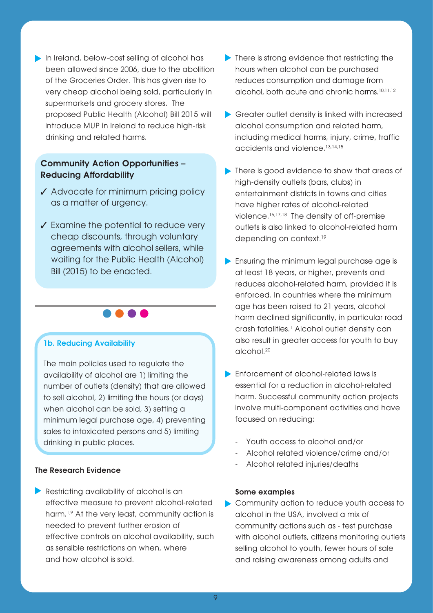In Ireland, below-cost selling of alcohol has been allowed since 2006, due to the abolition of the Groceries Order. This has given rise to very cheap alcohol being sold, particularly in supermarkets and grocery stores. The proposed Public Health (Alcohol) Bill 2015 will introduce MUP in Ireland to reduce high-risk drinking and related harms.

## Community Action Opportunities – Reducing Affordability

- ✓ Advocate for minimum pricing policy as a matter of urgency.
- ✓ Examine the potential to reduce very cheap discounts, through voluntary agreements with alcohol sellers, while waiting for the Public Health (Alcohol) Bill (2015) to be enacted.

**....** 

#### 1b. Reducing Availability

The main policies used to regulate the availability of alcohol are 1) limiting the number of outlets (density) that are allowed to sell alcohol, 2) limiting the hours (or days) when alcohol can be sold, 3) setting a minimum legal purchase age, 4) preventing sales to intoxicated persons and 5) limiting drinking in public places.

#### The Research Evidence

Restricting availability of alcohol is an effective measure to prevent alcohol-related harm.1,9 At the very least, community action is needed to prevent further erosion of effective controls on alcohol availability, such as sensible restrictions on when, where and how alcohol is sold.

- There is strong evidence that restricting the hours when alcohol can be purchased reduces consumption and damage from alcohol, both acute and chronic harms.<sup>10,11,12</sup>
- Greater outlet density is linked with increased alcohol consumption and related harm, including medical harms, injury, crime, traffic accidents and violence.13,14,15
- There is good evidence to show that areas of high-density outlets (bars, clubs) in entertainment districts in towns and cities have higher rates of alcohol-related violence.16,17,18 The density of off-premise outlets is also linked to alcohol-related harm depending on context.<sup>19</sup>
- **Ensuring the minimum legal purchase age is** at least 18 years, or higher, prevents and reduces alcohol-related harm, provided it is enforced. In countries where the minimum age has been raised to 21 years, alcohol harm declined significantly, in particular road crash fatalities.<sup>1</sup> Alcohol outlet density can also result in greater access for youth to buy alcohol.20
- **Enforcement of alcohol-related laws is** essential for a reduction in alcohol-related harm. Successful community action projects involve multi-component activities and have focused on reducing:
	- Youth access to alcohol and/or
	- Alcohol related violence/crime and/or
	- Alcohol related injuries/deaths

#### Some examples

Community action to reduce youth access to alcohol in the USA, involved a mix of community actions such as - test purchase with alcohol outlets, citizens monitoring outlets selling alcohol to youth, fewer hours of sale and raising awareness among adults and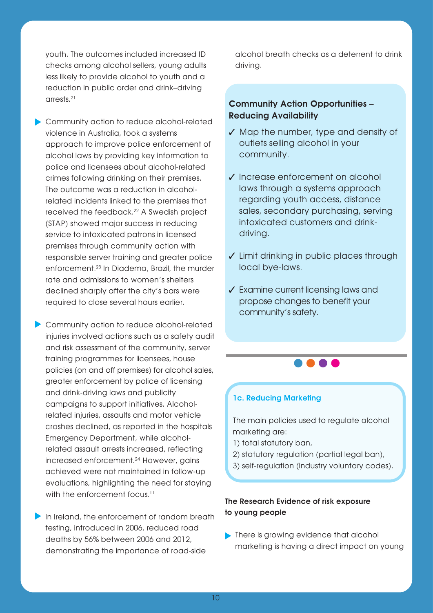youth. The outcomes included increased ID checks among alcohol sellers, young adults less likely to provide alcohol to youth and a reduction in public order and drink–driving arrests.21

Community action to reduce alcohol-related violence in Australia, took a systems approach to improve police enforcement of alcohol laws by providing key information to police and licensees about alcohol-related crimes following drinking on their premises. The outcome was a reduction in alcoholrelated incidents linked to the premises that received the feedback.22 A Swedish project (STAP) showed major success in reducing service to intoxicated patrons in licensed premises through community action with responsible server training and greater police enforcement.23 In Diadema, Brazil, the murder rate and admissions to women's shelters declined sharply after the city's bars were required to close several hours earlier.

**Community action to reduce alcohol-related** injuries involved actions such as a safety audit and risk assessment of the community, server training programmes for licensees, house policies (on and off premises) for alcohol sales, greater enforcement by police of licensing and drink-driving laws and publicity campaigns to support initiatives. Alcoholrelated injuries, assaults and motor vehicle crashes declined, as reported in the hospitals Emergency Department, while alcoholrelated assault arrests increased, reflecting increased enforcement.24 However, gains achieved were not maintained in follow-up evaluations, highlighting the need for staying with the enforcement focus.<sup>11</sup>

In Ireland, the enforcement of random breath testing, introduced in 2006, reduced road deaths by 56% between 2006 and 2012, demonstrating the importance of road-side

alcohol breath checks as a deterrent to drink driving.

### Community Action Opportunities – Reducing Availability

- ✓ Map the number, type and density of outlets selling alcohol in your community.
- ✓ Increase enforcement on alcohol laws through a systems approach regarding youth access, distance sales, secondary purchasing, serving intoxicated customers and drinkdriving.
- ✓ Limit drinking in public places through local bye-laws.
- ✓ Examine current licensing laws and propose changes to benefit your community's safety.

#### 1c. Reducing Marketing

The main policies used to regulate alcohol marketing are:

. . . .

- 1) total statutory ban,
- 2) statutory regulation (partial legal ban),
- 3) self-regulation (industry voluntary codes).

#### The Research Evidence of risk exposure to young people

**There is growing evidence that alcohol** marketing is having a direct impact on young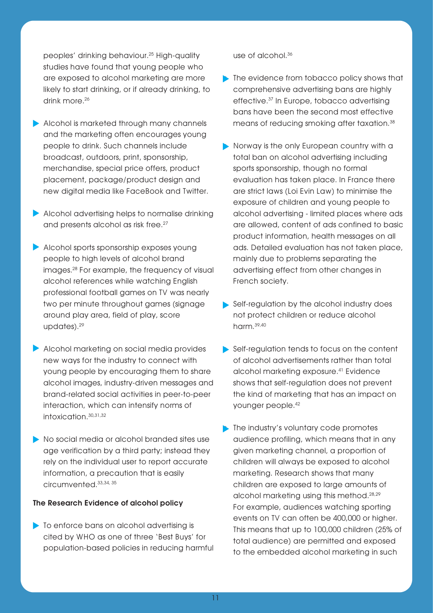peoples' drinking behaviour.25 High-quality studies have found that young people who are exposed to alcohol marketing are more likely to start drinking, or if already drinking, to drink more.<sup>26</sup>

- Alcohol is marketed through many channels and the marketing often encourages young people to drink. Such channels include broadcast, outdoors, print, sponsorship, merchandise, special price offers, product placement, package/product design and new digital media like FaceBook and Twitter.
- Alcohol advertising helps to normalise drinking and presents alcohol as risk free.<sup>27</sup>
- Alcohol sports sponsorship exposes young people to high levels of alcohol brand images.28 For example, the frequency of visual alcohol references while watching English professional football games on TV was nearly two per minute throughout games (signage around play area, field of play, score updates).29
- Alcohol marketing on social media provides new ways for the industry to connect with young people by encouraging them to share alcohol images, industry-driven messages and brand-related social activities in peer-to-peer interaction, which can intensify norms of intoxication.30,31,32
- No social media or alcohol branded sites use age verification by a third party; instead they rely on the individual user to report accurate information, a precaution that is easily circumvented.33,34, 35

#### The Research Evidence of alcohol policy

• To enforce bans on alcohol advertising is cited by WHO as one of three 'Best Buys' for population-based policies in reducing harmful use of alcohol.36

- The evidence from tobacco policy shows that comprehensive advertising bans are highly effective.37 In Europe, tobacco advertising bans have been the second most effective means of reducing smoking after taxation.38
- Norway is the only European country with a total ban on alcohol advertising including sports sponsorship, though no formal evaluation has taken place. In France there are strict laws (Loi Evin Law) to minimise the exposure of children and young people to alcohol advertising - limited places where ads are allowed, content of ads confined to basic product information, health messages on all ads. Detailed evaluation has not taken place, mainly due to problems separating the advertising effect from other changes in French society.
- Self-regulation by the alcohol industry does not protect children or reduce alcohol harm.39,40
- Self-regulation tends to focus on the content of alcohol advertisements rather than total alcohol marketing exposure.41 Evidence shows that self-regulation does not prevent the kind of marketing that has an impact on younger people.42
- The industry's voluntary code promotes audience profiling, which means that in any given marketing channel, a proportion of children will always be exposed to alcohol marketing. Research shows that many children are exposed to large amounts of alcohol marketing using this method.28,29 For example, audiences watching sporting events on TV can often be 400,000 or higher. This means that up to 100,000 children (25% of total audience) are permitted and exposed to the embedded alcohol marketing in such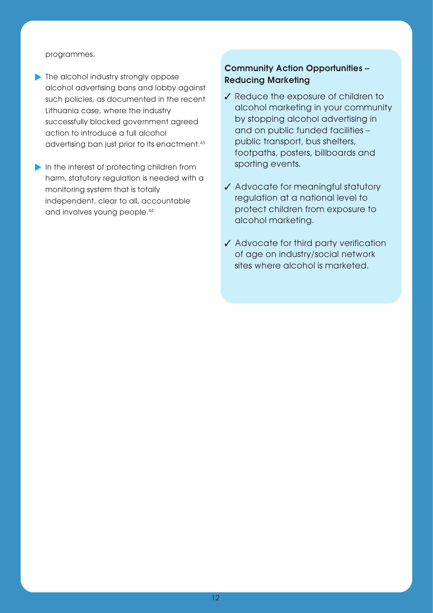#### programmes.

**The alcohol industry strongly oppose** alcohol advertising bans and lobby against such policies, as documented in the recent Lithuania case, where the industry successfully blocked government agreed action to introduce a full alcohol advertising ban just prior to its enactment.43

In the interest of protecting children from harm, statutory regulation is needed with a monitoring system that is totally independent, clear to all, accountable and involves young people.44

## Community Action Opportunities – Reducing Marketing

- ✓ Reduce the exposure of children to alcohol marketing in your community by stopping alcohol advertising in and on public funded facilities – public transport, bus shelters, footpaths, posters, billboards and sporting events.
- ✓ Advocate for meaningful statutory regulation at a national level to protect children from exposure to alcohol marketing.
- ✓ Advocate for third party verification of age on industry/social network sites where alcohol is marketed.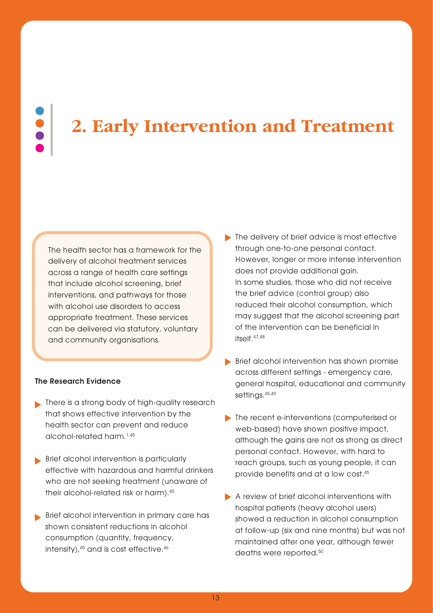# **2. Early Intervention and Treatment**

The health sector has a framework for the delivery of alcohol treatment services across a range of health care settings that include alcohol screening, brief interventions, and pathways for those with alcohol use disorders to access appropriate treatment. These services can be delivered via statutory, voluntary and community organisations.

#### The Research Evidence

- **No There is a strong body of high-quality research** that shows effective intervention by the health sector can prevent and reduce alcohol-related harm.1,45
- Brief alcohol intervention is particularly effective with hazardous and harmful drinkers who are not seeking treatment (unaware of their alcohol-related risk or harm).45
- Brief alcohol intervention in primary care has shown consistent reductions in alcohol consumption (quantity, frequency, intensity), 45 and is cost effective. 46
- The delivery of brief advice is most effective through one-to-one personal contact. However, longer or more intense intervention does not provide additional gain. In some studies, those who did not receive the brief advice (control group) also reduced their alcohol consumption, which may suggest that the alcohol screening part of the intervention can be beneficial in itself.47,48
- Brief alcohol intervention has shown promise across different settings - emergency care, general hospital, educational and community settings.<sup>45,49</sup>
- The recent e-interventions (computerised or web-based) have shown positive impact, although the gains are not as strong as direct personal contact. However, with hard to reach groups, such as young people, it can provide benefits and at a low cost.45
- A review of brief alcohol interventions with hospital patients (heavy alcohol users) showed a reduction in alcohol consumption at follow-up (six and nine months) but was not maintained after one year, although fewer deaths were reported.<sup>50</sup>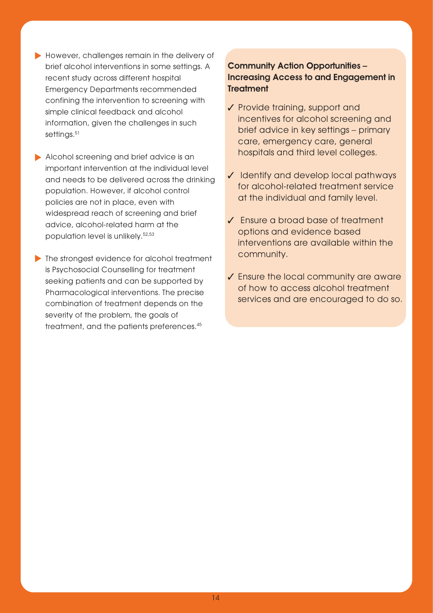- However, challenges remain in the delivery of brief alcohol interventions in some settings. A recent study across different hospital Emergency Departments recommended confining the intervention to screening with simple clinical feedback and alcohol information, given the challenges in such settings.<sup>51</sup>
- Alcohol screening and brief advice is an important intervention at the individual level and needs to be delivered across the drinking population. However, if alcohol control policies are not in place, even with widespread reach of screening and brief advice, alcohol-related harm at the population level is unlikely.52,53
- The strongest evidence for alcohol treatment is Psychosocial Counselling for treatment seeking patients and can be supported by Pharmacological interventions. The precise combination of treatment depends on the severity of the problem, the goals of treatment, and the patients preferences.45

## Community Action Opportunities – Increasing Access to and Engagement in **Treatment**

- ✓ Provide training, support and incentives for alcohol screening and brief advice in key settings – primary care, emergency care, general hospitals and third level colleges.
- ✓ Identify and develop local pathways for alcohol-related treatment service at the individual and family level.
- ✓ Ensure a broad base of treatment options and evidence based interventions are available within the community.
- ✓ Ensure the local community are aware of how to access alcohol treatment services and are encouraged to do so.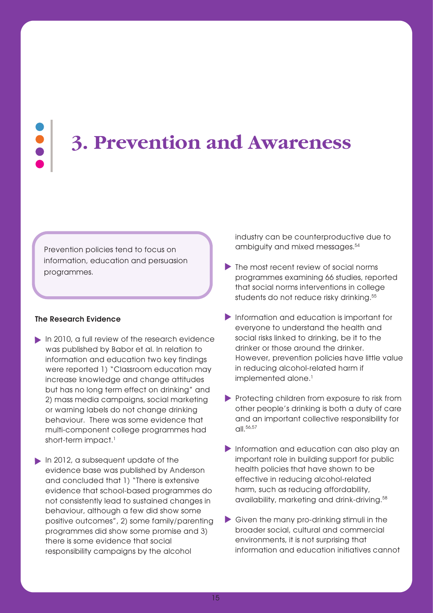# **3. Prevention and Awareness**

Prevention policies tend to focus on information, education and persuasion programmes.

#### The Research Evidence

- In 2010, a full review of the research evidence was published by Babor et al. In relation to information and education two key findings were reported 1) "Classroom education may increase knowledge and change attitudes but has no long term effect on drinking" and 2) mass media campaigns, social marketing or warning labels do not change drinking behaviour. There was some evidence that multi-component college programmes had short-term impact.<sup>1</sup>
- In 2012, a subsequent update of the evidence base was published by Anderson and concluded that 1) "There is extensive evidence that school-based programmes do not consistently lead to sustained changes in behaviour, although a few did show some positive outcomes", 2) some family/parenting programmes did show some promise and 3) there is some evidence that social responsibility campaigns by the alcohol

industry can be counterproductive due to ambiguity and mixed messages.<sup>54</sup>

- The most recent review of social norms programmes examining 66 studies, reported that social norms interventions in college students do not reduce risky drinking.<sup>55</sup>
- **Information and education is important for** everyone to understand the health and social risks linked to drinking, be it to the drinker or those around the drinker. However, prevention policies have little value in reducing alcohol-related harm if implemented alone.<sup>1</sup>
- Protecting children from exposure to risk from other people's drinking is both a duty of care and an important collective responsibility for  $\Omega$ ll. 56,57
- **Information and education can also play an** important role in building support for public health policies that have shown to be effective in reducing alcohol-related harm, such as reducing affordability, availability, marketing and drink-driving.58
- Given the many pro-drinking stimuli in the broader social, cultural and commercial environments, it is not surprising that information and education initiatives cannot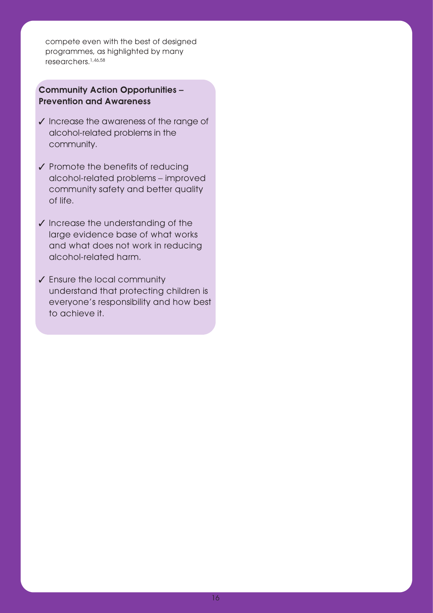compete even with the best of designed programmes, as highlighted by many researchers.1,46,58

## Community Action Opportunities – Prevention and Awareness

- ✓ Increase the awareness of the range of alcohol-related problems in the community.
- ✓ Promote the benefits of reducing alcohol-related problems – improved community safety and better quality of life.
- ✓ Increase the understanding of the large evidence base of what works and what does not work in reducing alcohol-related harm.
- ✓ Ensure the local community understand that protecting children is everyone's responsibility and how best to achieve it.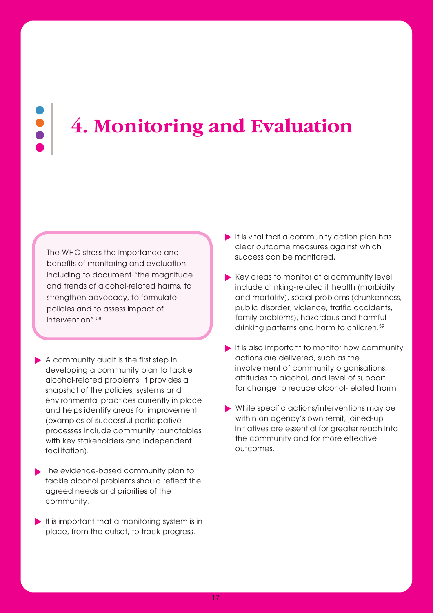# **4. Monitoring and Evaluation**

The WHO stress the importance and benefits of monitoring and evaluation including to document "the magnitude and trends of alcohol-related harms, to strengthen advocacy, to formulate policies and to assess impact of intervention".<sup>58</sup>

- A community audit is the first step in developing a community plan to tackle alcohol-related problems. It provides a snapshot of the policies, systems and environmental practices currently in place and helps identify areas for improvement (examples of successful participative processes include community roundtables with key stakeholders and independent facilitation).
- The evidence-based community plan to tackle alcohol problems should reflect the agreed needs and priorities of the community.
- $\blacktriangleright$  It is important that a monitoring system is in place, from the outset, to track progress.
- $\blacktriangleright$  It is vital that a community action plan has clear outcome measures against which success can be monitored.
- Key areas to monitor at a community level include drinking-related ill health (morbidity and mortality), social problems (drunkenness, public disorder, violence, traffic accidents, family problems), hazardous and harmful drinking patterns and harm to children.59
- $\blacktriangleright$  It is also important to monitor how community actions are delivered, such as the involvement of community organisations, attitudes to alcohol, and level of support for change to reduce alcohol-related harm.
- While specific actions/interventions may be within an agency's own remit, joined-up initiatives are essential for greater reach into the community and for more effective outcomes.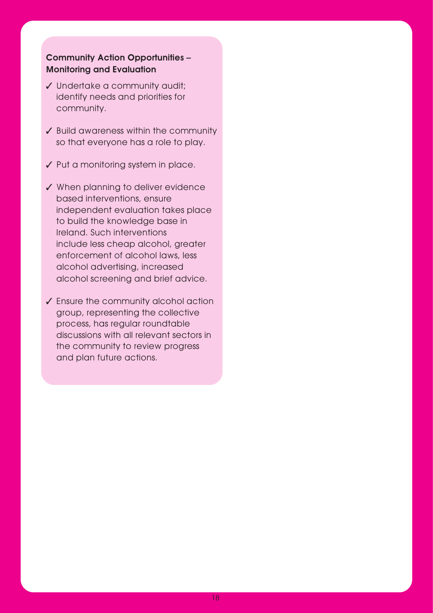## Community Action Opportunities – Monitoring and Evaluation

- ✓ Undertake a community audit; identify needs and priorities for community.
- ✓ Build awareness within the community so that everyone has a role to play.
- ✓ Put a monitoring system in place.
- ✓ When planning to deliver evidence based interventions, ensure independent evaluation takes place to build the knowledge base in Ireland. Such interventions include less cheap alcohol, greater enforcement of alcohol laws, less alcohol advertising, increased alcohol screening and brief advice.
- ✓ Ensure the community alcohol action group, representing the collective process, has regular roundtable discussions with all relevant sectors in the community to review progress and plan future actions.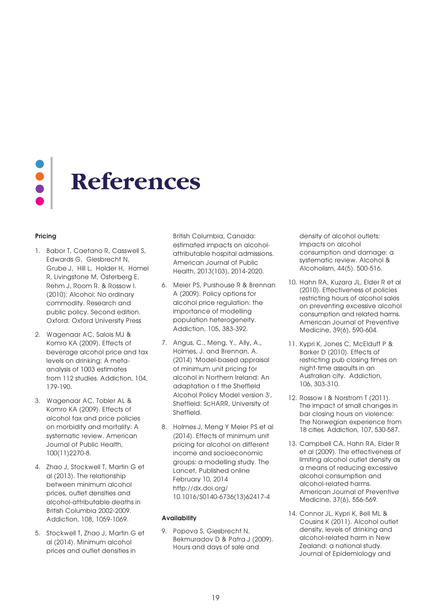

#### Pricing

- 1. Babor T, Caetano R, Casswell S, Edwards G, Giesbrecht N, Grube J, Hill L, Holder H, Homel R, Livingstone M, Österberg E, Rehm J, Room R. & Rossow I. (2010): Alcohol: No ordinary commodity. Research and public policy. Second edition. Oxford: Oxford University Press
- 2. Wagenaar AC, Salois MJ & Komro KA (2009). Effects of beverage alcohol price and tax levels on drinking: A metaanalysis of 1003 estimates from 112 studies. Addiction, 104, 179-190.
- 3. Wagenaar AC, Tobler AL & Komro KA (2009). Effects of alcohol tax and price policies on morbidity and mortality: A systematic review. American Journal of Public Health, 100(11)2270-8.
- 4. Zhao J, Stockwell T, Martin G et al (2013). The relationship between minimum alcohol prices, outlet densities and alcohol-attributable deaths in British Columbia 2002-2009. Addiction, 108, 1059-1069.
- 5. Stockwell T, Zhao J, Martin G et al (2014). Minimum alcohol prices and outlet densities in

British Columbia, Canada: estimated impacts on alcoholattribut able hospital admissions. American Journal of Public Health, 2013(103), 2014-2020.

- 6. Meier PS, Purshouse R & Brennan A (2009). Policy options for alcohol price regulation: the importance of modelling population heterogeneity. Addiction, 105, 383-392.
- 7. Angus, C., Meng, Y., Ally, A., Holmes, J. and Brennan, A. (2014) 'Model-based appraisal of minimum unit pricing for alcohol in Northern Ireland: An adaptation o f the Sheffield Alcohol Policy Model version 3', Sheffield: ScHARR, University of Sheffield.
- 8. Holmes J, Meng Y Meier PS et al (2014). Effects of minimum unit pricing for alcohol on different income and socioeconomic groups: a modelling study. The Lancet, Published online February 10, 2014 http://dx.doi.org/ 10.1016/S0140-6736(13)62417-4

#### **Availability**

9. Popova S, Giesbrecht N, Bekmuradov D & Patra J (2009). Hours and days of sale and

density of alcohol outlets: Impacts on alcohol consumption and damage: a systematic review. Alcohol & Alcoholism, 44(5). 500-516.

- 10. Hahn RA, Kuzara JL, Elder R et al (2010). Effectiveness of policies restricting hours of alcohol sales on preventing excessive alcohol consumption and related harms. American Journal of Preventive Medicine, 39(6), 590-604.
- 11. Kypri K, Jones C, McElduff P & Barker D (2010). Effects of restricting pub closing times on night-time assaults in an Australian city. Addiction, 106, 303-310.
- 12. Rossow I & Norstrom T (2011). The impact of small changes in bar closing hours on violence: The Norwegian experience from 18 cities. Addiction, 107, 530-587.
- 13. Campbell CA, Hahn RA, Elder R et al (2009). The effectiveness of limiting alcohol outlet density as a means of reducing excessive alcohol consumption and alcohol-related harms. American Journal of Preventive Medicine, 37(6), 556-569.
- 14. Connor JL, Kypri K, Bell ML & Cousins K (2011). Alcohol outlet density, levels of drinking and alcohol-related harm in New Zealand: a national study. Journal of Epidemiology and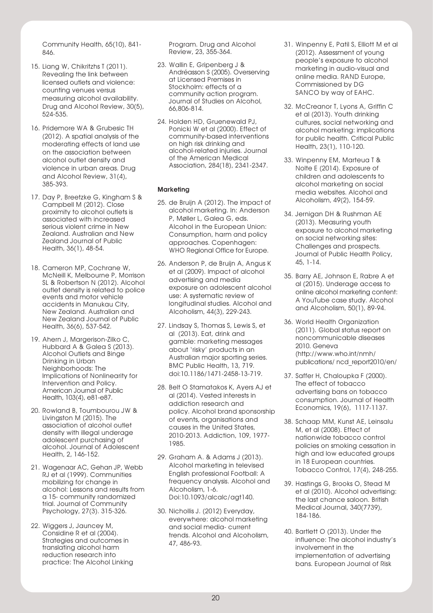Community Health, 65(10), 841- 846.

- 15. Liang W, Chikritzhs T (2011). Revealing the link between licensed outlets and violence: counting venues versus measuring alcohol availability. Drug and Alcohol Review, 30(5), 524-535.
- 16. Pridemore WA & Grubesic TH (2012). A spatial analysis of the moderating effects of land use on the association between alcohol outlet density and violence in urban areas. Drug and Alcohol Review, 31(4), 385-393.
- 17. Day P, Breetzke G, Kingham S & Campbell M (2012). Close proximity to alcohol outlets is associated with increased serious violent crime in New Zealand. Australian and New Zealand Journal of Public Health, 36(1), 48-54.
- 18. Cameron MP, Cochrane W, McNeill K, Melbourne P, Morrison SL & Robertson N (2012). Alcohol outlet density is related to police events and motor vehicle accidents in Manukau City, New Zealand. Australian and New Zealand Journal of Public Health, 36(6), 537-542.
- 19. Ahern J, Margerison-Zilko C, Hubbard A & Galea S (2013). Alcohol Outlets and Binge Drinking in Urban Neighborhoods: The Implications of Nonlinearity for Intervention and Policy. American Journal of Public Health, 103(4), e81-e87.
- 20. Rowland B, Toumbourou JW & Livingston M (2015). The association of alcohol outlet density with illegal underage adolescent purchasing of alcohol. Journal of Adolescent Health, 2, 146-152.
- 21. Wagenaar AC, Gehan JP, Webb RJ et al (1999). Communities mobilizing for change in alcohol: Lessons and results from a 15- community randomized trial. Journal of Community Psychology, 27(3). 315-326.
- 22. Wiggers J, Jauncey M, Considine R et al (2004). Strategies and outcomes in translating alcohol harm reduction research into practice: The Alcohol Linking

Program. Drug and Alcohol Review, 23, 355-364.

- 23. Wallin E, Gripenberg J & Andréasson S (2005). Overserving at Licensed Premises in Stockholm: effects of a community action program. Journal of Studies on Alcohol, 66,806-814.
- 24. Holden HD, Gruenewald PJ, Ponicki W et al (2000). Effect of community-based interventions on high risk drinking and alcohol-related injuries. Journal of the American Medical Association, 284(18), 2341-2347.

#### **Marketing**

- 25. de Bruijn A (2012). The impact of alcohol marketing. In: Anderson P, Møller L, Galea G, eds. Alcohol in the European Union: Consumption, harm and policy approaches. Copenhagen: WHO Regional Office for Europe.
- 26. Anderson P, de Bruijn A, Angus K et al (2009). Impact of alcohol advertising and media exposure on adolescent alcohol use: A systematic review of longitudinal studies. Alcohol and Alcoholism, 44(3), 229-243.
- 27. Lindsay S, Thomas S, Lewis S, et al (2013). Eat, drink and gamble: marketing messages about 'risky' products in an Australian major sporting series. BMC Public Health, 13, 719. doi:10.1186/1471-2458-13-719.
- 28. Belt O Stamatakos K, Ayers AJ et al (2014). Vested interests in addiction research and policy. Alcohol brand sponsorship of events, organisations and causes in the United States, 2010-2013. Addiction, 109, 1977- 1985.
- 29. Graham A. & Adams J (2013). Alcohol marketing in televised English professional Football: A frequency analysis. Alcohol and Alcoholism, 1-6. Doi:10.1093/alcalc/agt140.
- 30. Nichollis J. (2012) Everyday, everywhere: alcohol marketing and social media- current trends. Alcohol and Alcoholism, 47, 486-93.
- 31. Winpenny E, Patil S, Elliott M et al (2012). Assessment of young people's exposure to alcohol marketing in audio-visual and online media. RAND Europe, Commissioned by DG SANCO by way of EAHC.
- 32. McCreanor T, Lyons A, Griffin C et al (2013). Youth drinking cultures, social networking and alcohol marketing: implications for public health. Critical Public Health, 23(1), 110-120.
- 33. Winpenny EM, Marteua T & Nolte E (2014). Exposure of children and adolescents to alcohol marketing on social media websites. Alcohol and Alcoholism, 49(2), 154-59.
- 34. Jernigan DH & Rushman AE (2013). Measuring youth exposure to alcohol marketing on social networking sites: Challenges and prospects. Journal of Public Health Policy, 45, 1-14.
- 35. Barry AE, Johnson E, Rabre A et al (2015). Underage access to online alcohol marketing content: A YouTube case study. Alcohol and Alcoholism, 50(1), 89-94.
- 36. World Health Organization (2011). Global status report on noncommunicable diseases 2010. Geneva (http://www.who.int/nmh/ publications/ ncd\_report2010/en/
- 37. Saffer H, Chaloupka F (2000). The effect of tobacco advertising bans on tobacco consumption. Journal of Health Economics, 19(6), 1117-1137.
- 38. Schaap MM, Kunst AE, Leinsalu M, et al (2008). Effect of nationwide tobacco control policies on smoking cessation in high and low educated groups in 18 European countries. Tobacco Control, 17(4), 248-255.
- 39. Hastings G, Brooks O, Stead M et al (2010). Alcohol advertising: the last chance saloon. British Medical Journal, 340(7739), 184-186.
- 40. Bartlett O (2013). Under the influence: The alcohol industry's involvement in the implementation of advertising bans. European Journal of Risk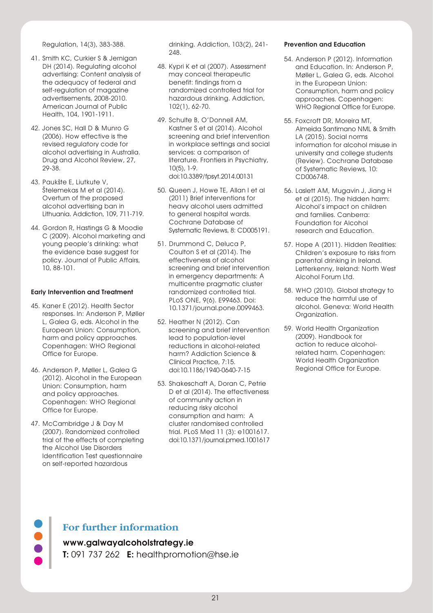Regulation, 14(3), 383-388.

- 41. Smith KC, Curkier S & Jernigan DH (2014). Regulating alcohol advertising: Content analysis of the adequacy of federal and self-regulation of magazine advertisements, 2008-2010. American Journal of Public Health, 104, 1901-1911.
- 42. Jones SC, Hall D & Munro G (2006). How effective is the revised regulatory code for alcohol advertising in Australia. Drug and Alcohol Review, 27, 29-38.
- 43. Paukšte E, Liutkute V, Štelemekas M et al (2014). Overturn of the proposed alcohol advertising ban in Lithuania. Addiction, 109, 711-719.
- 44. Gordon R, Hastings G & Moodie C (2009). Alcohol marketing and young people's drinking: what the evidence base suggest for policy. Journal of Public Affairs, 10, 88-101.

#### Early Intervention and Treatment

- 45. Kaner E (2012). Health Sector responses. In: Anderson P, Møller L, Galea G, eds. Alcohol in the European Union: Consumption, harm and policy approaches. Copenhagen: WHO Regional Office for Europe.
- 46. Anderson P, Møller L, Galea G (2012). Alcohol in the European Union: Consumption, harm and policy approaches. Copenhagen: WHO Regional Office for Europe.
- 47. McCambridge J & Day M (2007). Randomized controlled trial of the effects of completing the Alcohol Use Disorders Identification Test questionnaire on self-reported hazardous

drinking. Addiction, 103(2), 241- 248.

- 48. Kypri K et al (2007). Assessment may conceal therapeutic benefit: findings from a randomized controlled trial for hazardous drinking. Addiction, 102(1), 62-70.
- 49. Schulte B, O'Donnell AM, Kastner S et al (2014). Alcohol screening and brief intervention in workplace settings and social services: a comparison of literature. Frontiers in Psychiatry, 10(5), 1-9. doi:10.3389/fpsyt.2014.00131
- 50. Queen J, Howe TE, Allan I et al (2011) Brief interventions for heavy alcohol users admitted to general hospital wards. Cochrane Database of Systematic Reviews, 8: CD005191.
- 51. Drummond C, Deluca P, Coulton S et al (2014). The effectiveness of alcohol screening and brief intervention in emergency departments: A multicentre pragmatic cluster randomized controlled trial. PLoS ONE, 9(6). E99463. Doi: 10.1371/journal.pone.0099463.
- 52. Heather N (2012). Can screening and brief intervention lead to population-level reductions in alcohol-related harm? Addiction Science & Clinical Practice, 7:15. doi:10.1186/1940-0640-7-15
- 53. Shakeschaft A, Doran C, Petrie D et al (2014). The effectiveness of community action in reducing risky alcohol consumption and harm: A cluster randomised controlled trial. PLoS Med 11 (3): e1001617. doi:10.1371/journal.pmed.1001617

#### Prevention and Education

- 54. Anderson P (2012). Information and Education. In: Anderson P, Møller L, Galea G, eds. Alcohol in the European Union: Consumption, harm and policy approaches. Copenhagen: WHO Regional Office for Europe.
- 55. Foxcroft DR, Moreira MT, Almeida Santimano NML & Smith LA (2015). Social norms information for alcohol misuse in university and college students (Review). Cochrane Database of Systematic Reviews, 10: CD006748.
- 56. Laslett AM, Mugavin J, Jiang H et al (2015). The hidden harm: Alcohol's impact on children and families. Canberra: Foundation for Alcohol research and Education.
- 57. Hope A (2011). Hidden Realities: Children's exposure to risks from parental drinking in Ireland. Letterkenny, Ireland: North West Alcohol Forum Ltd.
- 58. WHO (2010). Global strategy to reduce the harmful use of alcohol. Geneva: World Health Organization.
- 59. World Health Organization (2009). Handbook for action to reduce alcoholrelated harm. Copenhagen: World Health Organization Regional Office for Europe.

# **For further information**

## www.galwayalcoholstrategy.ie

T: 091 737 262 E: healthpromotion@hse.ie